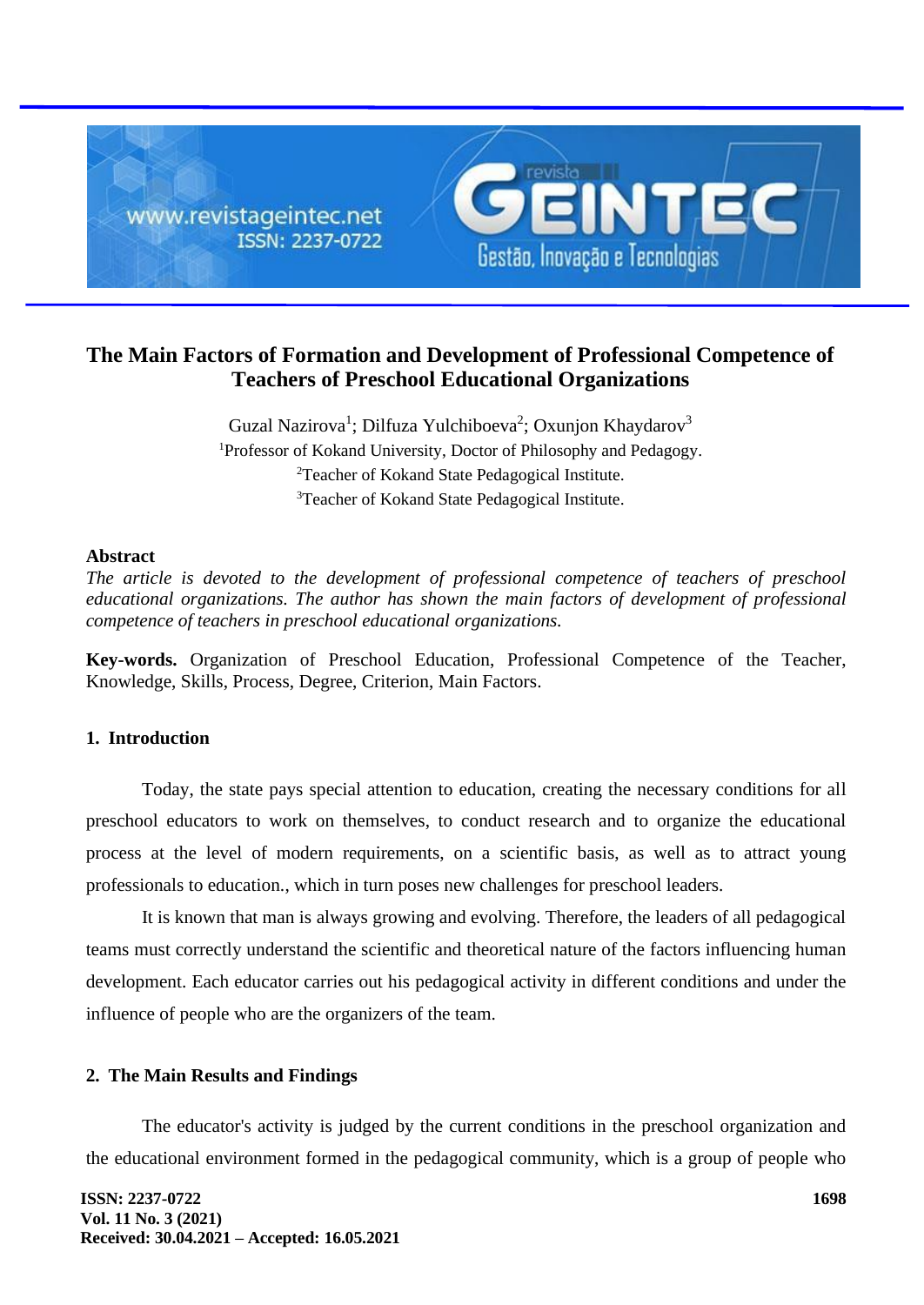

# **The Main Factors of Formation and Development of Professional Competence of Teachers of Preschool Educational Organizations**

Guzal Nazirova<sup>1</sup>; Dilfuza Yulchiboeva<sup>2</sup>; Oxunjon Khaydarov<sup>3</sup> Professor of Kokand University, Doctor of Philosophy and Pedagogy. Teacher of Kokand State Pedagogical Institute. Teacher of Kokand State Pedagogical Institute.

#### **Abstract**

*The article is devoted to the development of professional competence of teachers of preschool educational organizations. The author has shown the main factors of development of professional competence of teachers in preschool educational organizations.*

**Key-words.** Organization of Preschool Education, Professional Competence of the Teacher, Knowledge, Skills, Process, Degree, Criterion, Main Factors.

## **1. Introduction**

Today, the state pays special attention to education, creating the necessary conditions for all preschool educators to work on themselves, to conduct research and to organize the educational process at the level of modern requirements, on a scientific basis, as well as to attract young professionals to education., which in turn poses new challenges for preschool leaders.

It is known that man is always growing and evolving. Therefore, the leaders of all pedagogical teams must correctly understand the scientific and theoretical nature of the factors influencing human development. Each educator carries out his pedagogical activity in different conditions and under the influence of people who are the organizers of the team.

## **2. The Main Results and Findings**

The educator's activity is judged by the current conditions in the preschool organization and the educational environment formed in the pedagogical community, which is a group of people who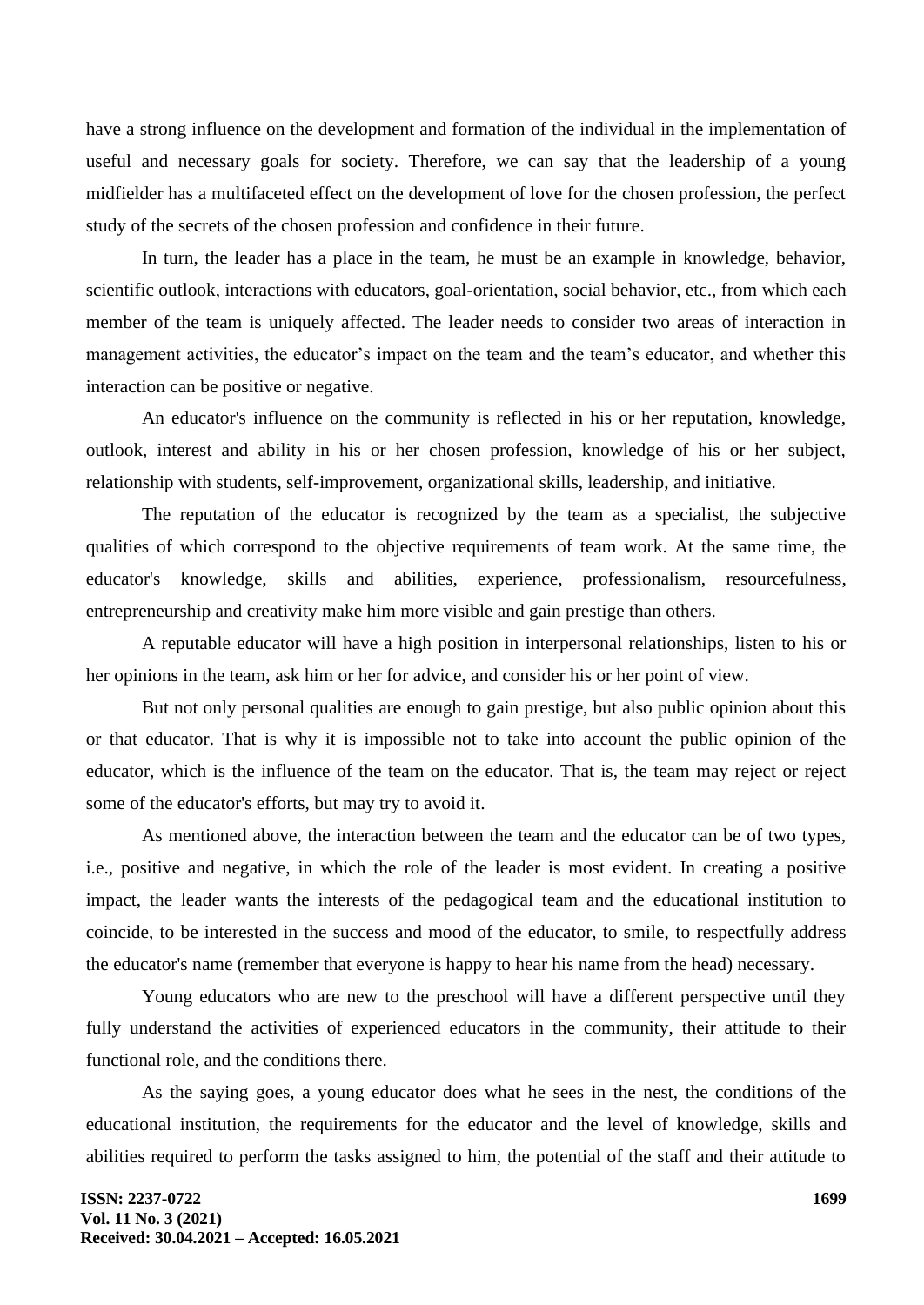have a strong influence on the development and formation of the individual in the implementation of useful and necessary goals for society. Therefore, we can say that the leadership of a young midfielder has a multifaceted effect on the development of love for the chosen profession, the perfect study of the secrets of the chosen profession and confidence in their future.

In turn, the leader has a place in the team, he must be an example in knowledge, behavior, scientific outlook, interactions with educators, goal-orientation, social behavior, etc., from which each member of the team is uniquely affected. The leader needs to consider two areas of interaction in management activities, the educator's impact on the team and the team's educator, and whether this interaction can be positive or negative.

An educator's influence on the community is reflected in his or her reputation, knowledge, outlook, interest and ability in his or her chosen profession, knowledge of his or her subject, relationship with students, self-improvement, organizational skills, leadership, and initiative.

The reputation of the educator is recognized by the team as a specialist, the subjective qualities of which correspond to the objective requirements of team work. At the same time, the educator's knowledge, skills and abilities, experience, professionalism, resourcefulness, entrepreneurship and creativity make him more visible and gain prestige than others.

A reputable educator will have a high position in interpersonal relationships, listen to his or her opinions in the team, ask him or her for advice, and consider his or her point of view.

But not only personal qualities are enough to gain prestige, but also public opinion about this or that educator. That is why it is impossible not to take into account the public opinion of the educator, which is the influence of the team on the educator. That is, the team may reject or reject some of the educator's efforts, but may try to avoid it.

As mentioned above, the interaction between the team and the educator can be of two types, i.e., positive and negative, in which the role of the leader is most evident. In creating a positive impact, the leader wants the interests of the pedagogical team and the educational institution to coincide, to be interested in the success and mood of the educator, to smile, to respectfully address the educator's name (remember that everyone is happy to hear his name from the head) necessary.

Young educators who are new to the preschool will have a different perspective until they fully understand the activities of experienced educators in the community, their attitude to their functional role, and the conditions there.

As the saying goes, a young educator does what he sees in the nest, the conditions of the educational institution, the requirements for the educator and the level of knowledge, skills and abilities required to perform the tasks assigned to him, the potential of the staff and their attitude to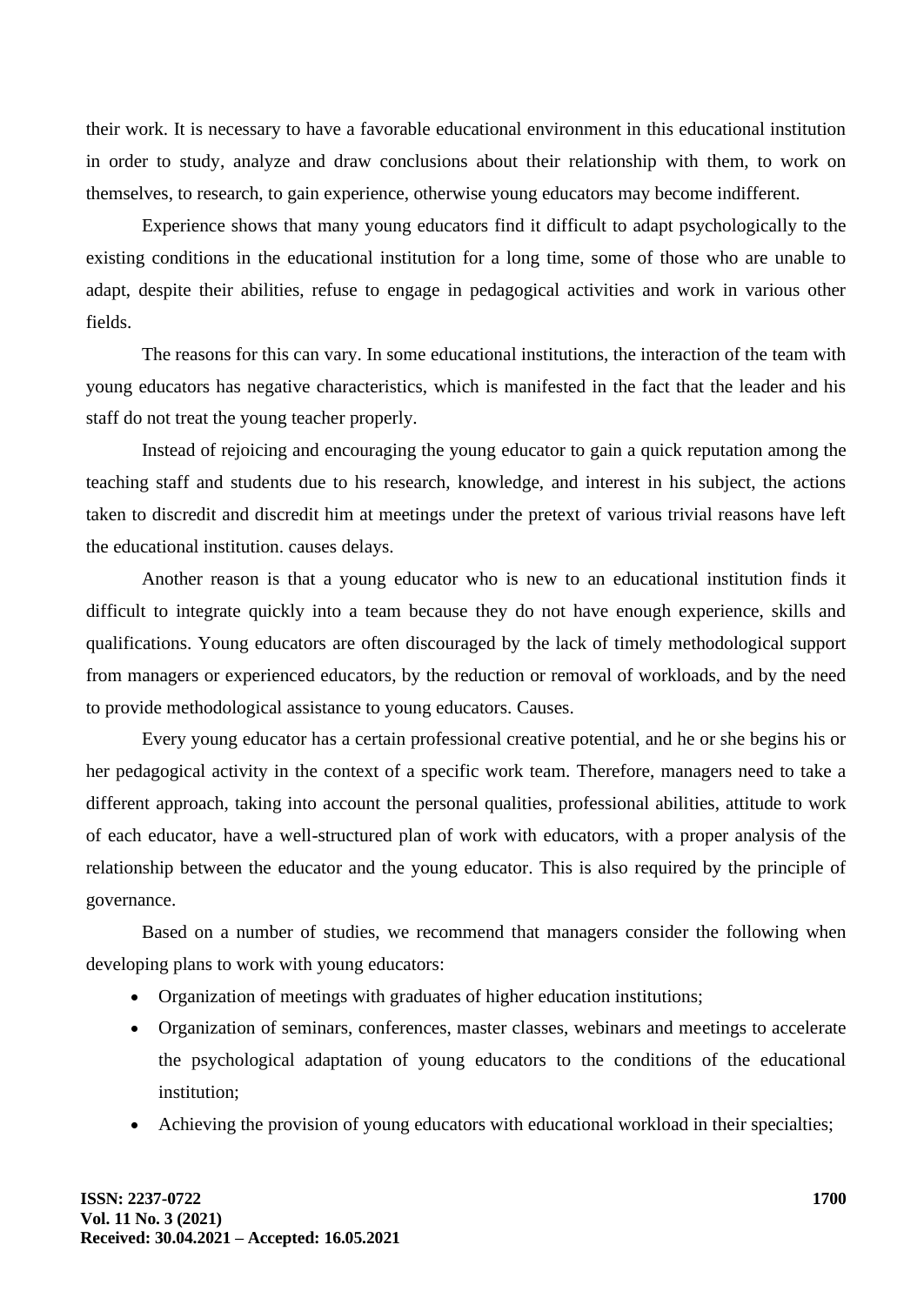their work. It is necessary to have a favorable educational environment in this educational institution in order to study, analyze and draw conclusions about their relationship with them, to work on themselves, to research, to gain experience, otherwise young educators may become indifferent.

Experience shows that many young educators find it difficult to adapt psychologically to the existing conditions in the educational institution for a long time, some of those who are unable to adapt, despite their abilities, refuse to engage in pedagogical activities and work in various other fields.

The reasons for this can vary. In some educational institutions, the interaction of the team with young educators has negative characteristics, which is manifested in the fact that the leader and his staff do not treat the young teacher properly.

Instead of rejoicing and encouraging the young educator to gain a quick reputation among the teaching staff and students due to his research, knowledge, and interest in his subject, the actions taken to discredit and discredit him at meetings under the pretext of various trivial reasons have left the educational institution. causes delays.

Another reason is that a young educator who is new to an educational institution finds it difficult to integrate quickly into a team because they do not have enough experience, skills and qualifications. Young educators are often discouraged by the lack of timely methodological support from managers or experienced educators, by the reduction or removal of workloads, and by the need to provide methodological assistance to young educators. Causes.

Every young educator has a certain professional creative potential, and he or she begins his or her pedagogical activity in the context of a specific work team. Therefore, managers need to take a different approach, taking into account the personal qualities, professional abilities, attitude to work of each educator, have a well-structured plan of work with educators, with a proper analysis of the relationship between the educator and the young educator. This is also required by the principle of governance.

Based on a number of studies, we recommend that managers consider the following when developing plans to work with young educators:

- Organization of meetings with graduates of higher education institutions;
- Organization of seminars, conferences, master classes, webinars and meetings to accelerate the psychological adaptation of young educators to the conditions of the educational institution;
- Achieving the provision of young educators with educational workload in their specialties;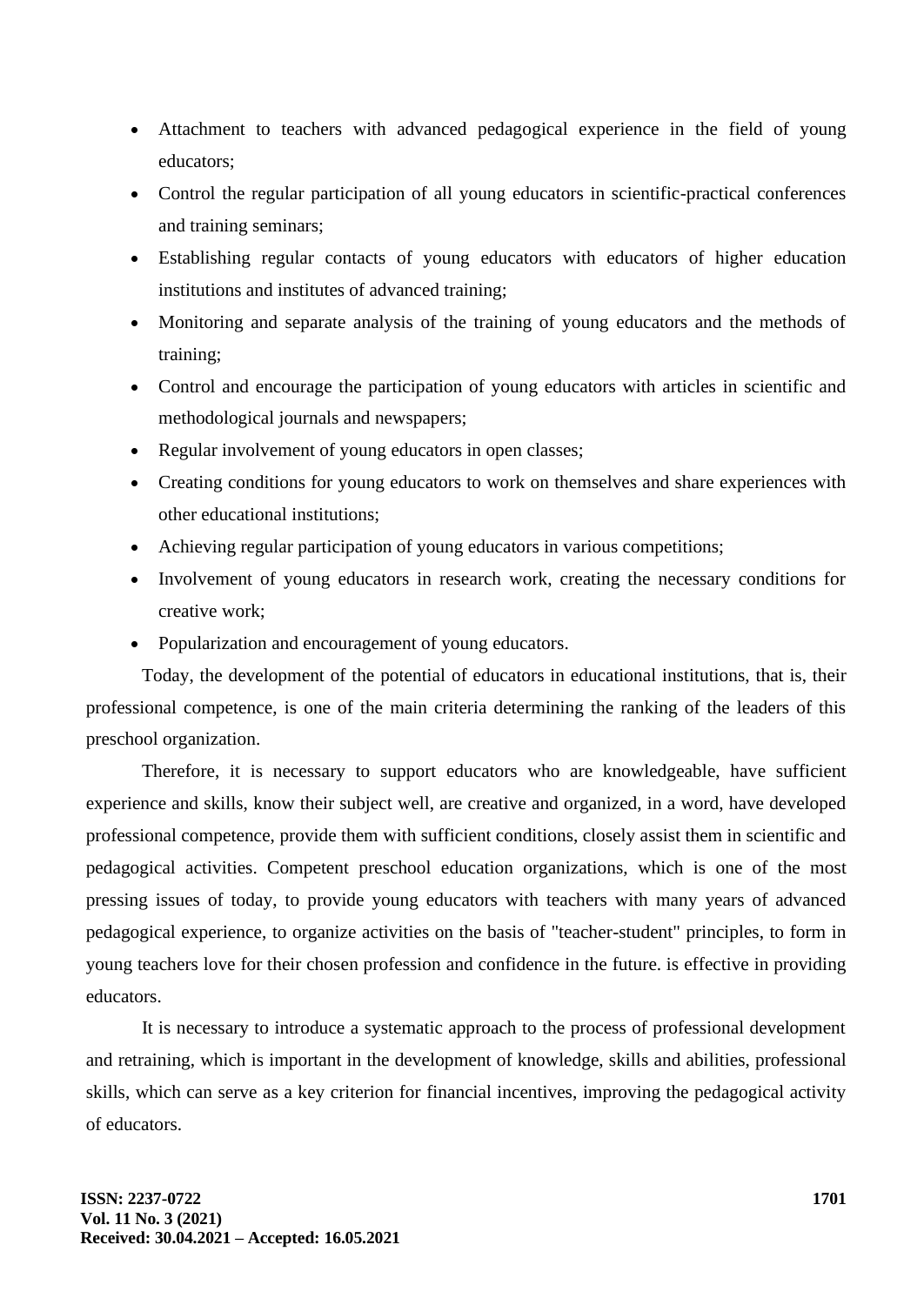- Attachment to teachers with advanced pedagogical experience in the field of young educators;
- Control the regular participation of all young educators in scientific-practical conferences and training seminars;
- Establishing regular contacts of young educators with educators of higher education institutions and institutes of advanced training;
- Monitoring and separate analysis of the training of young educators and the methods of training;
- Control and encourage the participation of young educators with articles in scientific and methodological journals and newspapers;
- Regular involvement of young educators in open classes;
- Creating conditions for young educators to work on themselves and share experiences with other educational institutions;
- Achieving regular participation of young educators in various competitions;
- Involvement of young educators in research work, creating the necessary conditions for creative work;
- Popularization and encouragement of young educators.

Today, the development of the potential of educators in educational institutions, that is, their professional competence, is one of the main criteria determining the ranking of the leaders of this preschool organization.

Therefore, it is necessary to support educators who are knowledgeable, have sufficient experience and skills, know their subject well, are creative and organized, in a word, have developed professional competence, provide them with sufficient conditions, closely assist them in scientific and pedagogical activities. Competent preschool education organizations, which is one of the most pressing issues of today, to provide young educators with teachers with many years of advanced pedagogical experience, to organize activities on the basis of "teacher-student" principles, to form in young teachers love for their chosen profession and confidence in the future. is effective in providing educators.

It is necessary to introduce a systematic approach to the process of professional development and retraining, which is important in the development of knowledge, skills and abilities, professional skills, which can serve as a key criterion for financial incentives, improving the pedagogical activity of educators.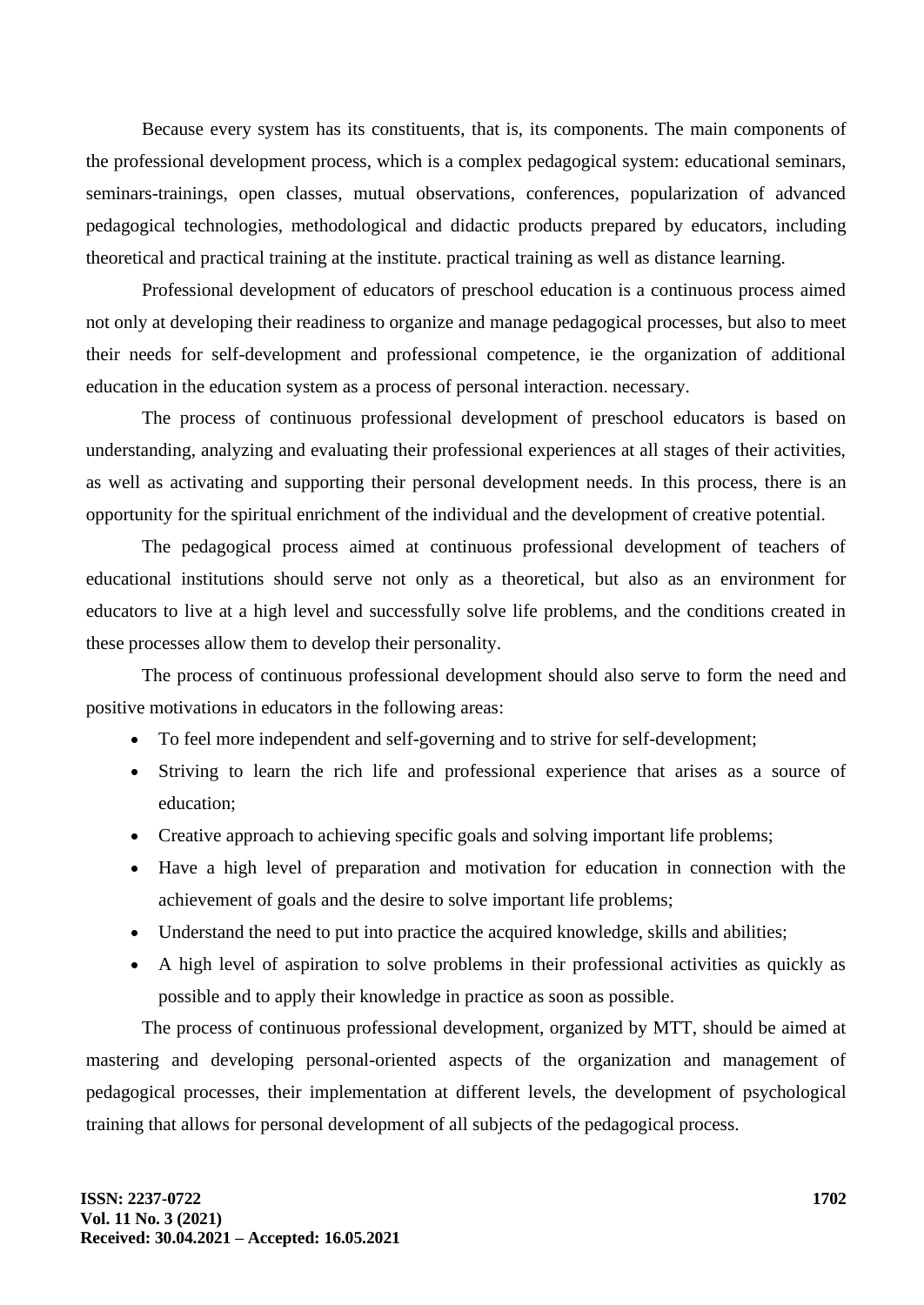Because every system has its constituents, that is, its components. The main components of the professional development process, which is a complex pedagogical system: educational seminars, seminars-trainings, open classes, mutual observations, conferences, popularization of advanced pedagogical technologies, methodological and didactic products prepared by educators, including theoretical and practical training at the institute. practical training as well as distance learning.

Professional development of educators of preschool education is a continuous process aimed not only at developing their readiness to organize and manage pedagogical processes, but also to meet their needs for self-development and professional competence, ie the organization of additional education in the education system as a process of personal interaction. necessary.

The process of continuous professional development of preschool educators is based on understanding, analyzing and evaluating their professional experiences at all stages of their activities, as well as activating and supporting their personal development needs. In this process, there is an opportunity for the spiritual enrichment of the individual and the development of creative potential.

The pedagogical process aimed at continuous professional development of teachers of educational institutions should serve not only as a theoretical, but also as an environment for educators to live at a high level and successfully solve life problems, and the conditions created in these processes allow them to develop their personality.

The process of continuous professional development should also serve to form the need and positive motivations in educators in the following areas:

- To feel more independent and self-governing and to strive for self-development;
- Striving to learn the rich life and professional experience that arises as a source of education;
- Creative approach to achieving specific goals and solving important life problems;
- Have a high level of preparation and motivation for education in connection with the achievement of goals and the desire to solve important life problems;
- Understand the need to put into practice the acquired knowledge, skills and abilities;
- A high level of aspiration to solve problems in their professional activities as quickly as possible and to apply their knowledge in practice as soon as possible.

The process of continuous professional development, organized by MTT, should be aimed at mastering and developing personal-oriented aspects of the organization and management of pedagogical processes, their implementation at different levels, the development of psychological training that allows for personal development of all subjects of the pedagogical process.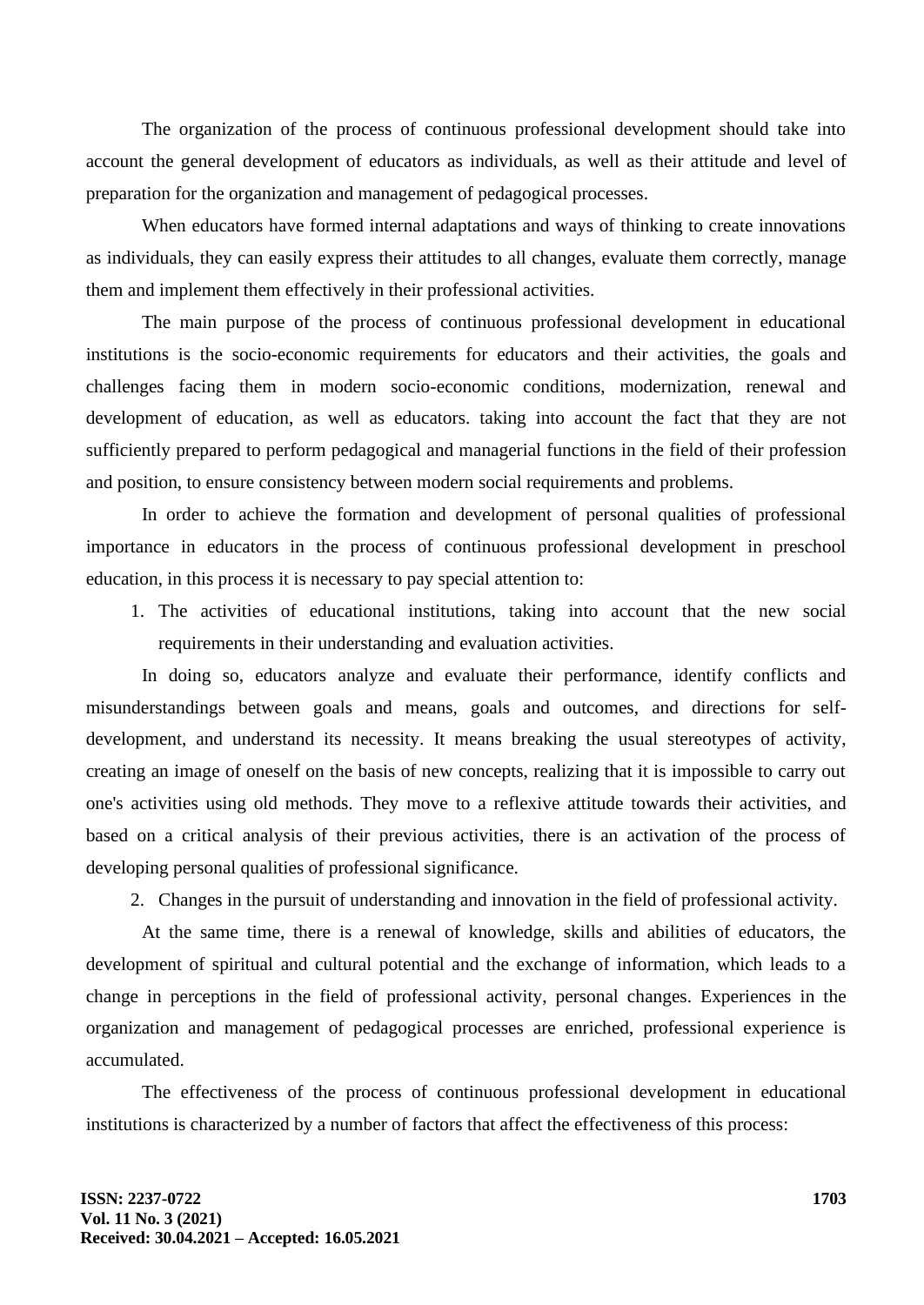The organization of the process of continuous professional development should take into account the general development of educators as individuals, as well as their attitude and level of preparation for the organization and management of pedagogical processes.

When educators have formed internal adaptations and ways of thinking to create innovations as individuals, they can easily express their attitudes to all changes, evaluate them correctly, manage them and implement them effectively in their professional activities.

The main purpose of the process of continuous professional development in educational institutions is the socio-economic requirements for educators and their activities, the goals and challenges facing them in modern socio-economic conditions, modernization, renewal and development of education, as well as educators. taking into account the fact that they are not sufficiently prepared to perform pedagogical and managerial functions in the field of their profession and position, to ensure consistency between modern social requirements and problems.

In order to achieve the formation and development of personal qualities of professional importance in educators in the process of continuous professional development in preschool education, in this process it is necessary to pay special attention to:

1. The activities of educational institutions, taking into account that the new social requirements in their understanding and evaluation activities.

In doing so, educators analyze and evaluate their performance, identify conflicts and misunderstandings between goals and means, goals and outcomes, and directions for selfdevelopment, and understand its necessity. It means breaking the usual stereotypes of activity, creating an image of oneself on the basis of new concepts, realizing that it is impossible to carry out one's activities using old methods. They move to a reflexive attitude towards their activities, and based on a critical analysis of their previous activities, there is an activation of the process of developing personal qualities of professional significance.

2. Changes in the pursuit of understanding and innovation in the field of professional activity.

At the same time, there is a renewal of knowledge, skills and abilities of educators, the development of spiritual and cultural potential and the exchange of information, which leads to a change in perceptions in the field of professional activity, personal changes. Experiences in the organization and management of pedagogical processes are enriched, professional experience is accumulated.

The effectiveness of the process of continuous professional development in educational institutions is characterized by a number of factors that affect the effectiveness of this process: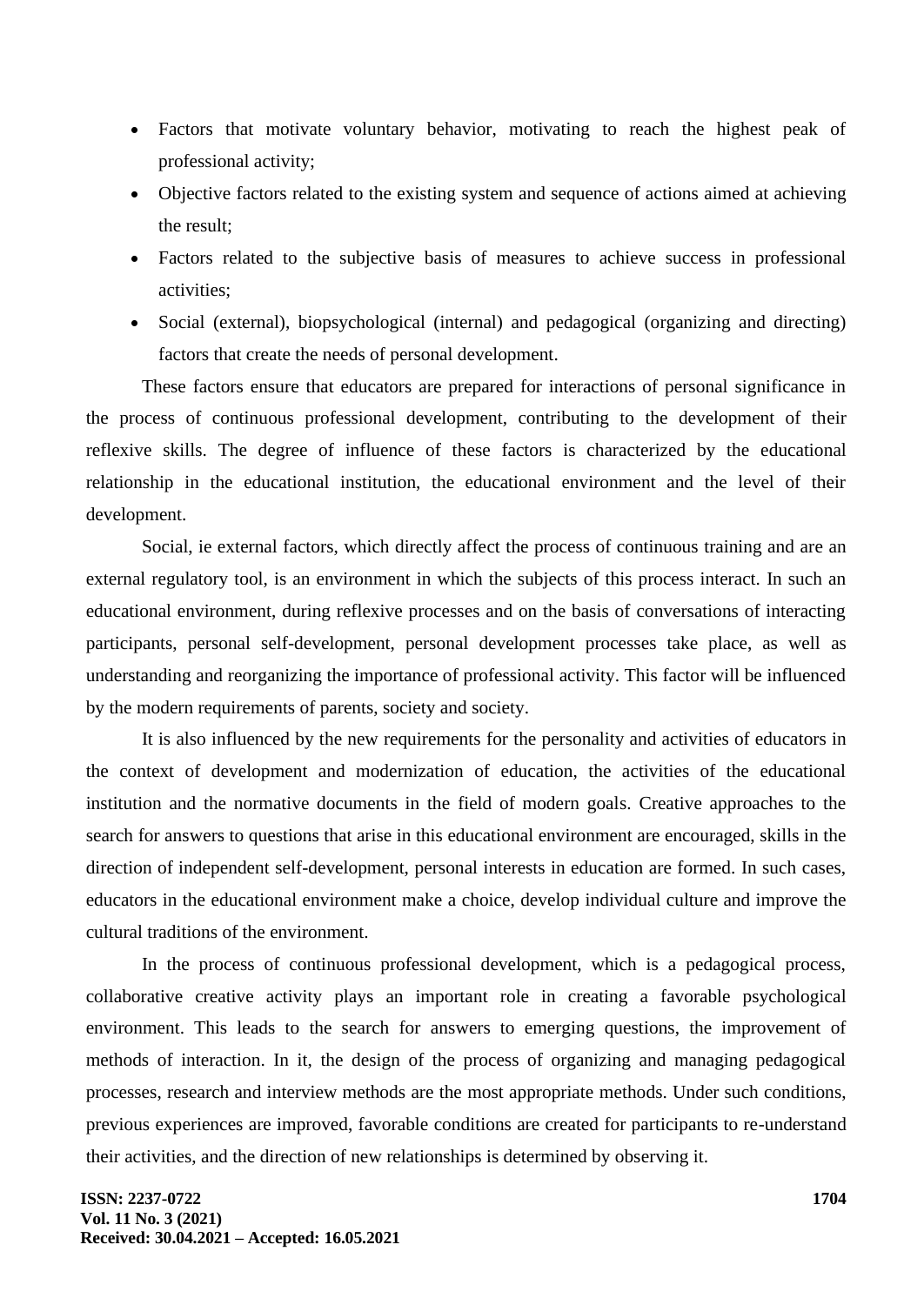- Factors that motivate voluntary behavior, motivating to reach the highest peak of professional activity;
- Objective factors related to the existing system and sequence of actions aimed at achieving the result;
- Factors related to the subjective basis of measures to achieve success in professional activities;
- Social (external), biopsychological (internal) and pedagogical (organizing and directing) factors that create the needs of personal development.

These factors ensure that educators are prepared for interactions of personal significance in the process of continuous professional development, contributing to the development of their reflexive skills. The degree of influence of these factors is characterized by the educational relationship in the educational institution, the educational environment and the level of their development.

Social, ie external factors, which directly affect the process of continuous training and are an external regulatory tool, is an environment in which the subjects of this process interact. In such an educational environment, during reflexive processes and on the basis of conversations of interacting participants, personal self-development, personal development processes take place, as well as understanding and reorganizing the importance of professional activity. This factor will be influenced by the modern requirements of parents, society and society.

It is also influenced by the new requirements for the personality and activities of educators in the context of development and modernization of education, the activities of the educational institution and the normative documents in the field of modern goals. Creative approaches to the search for answers to questions that arise in this educational environment are encouraged, skills in the direction of independent self-development, personal interests in education are formed. In such cases, educators in the educational environment make a choice, develop individual culture and improve the cultural traditions of the environment.

In the process of continuous professional development, which is a pedagogical process, collaborative creative activity plays an important role in creating a favorable psychological environment. This leads to the search for answers to emerging questions, the improvement of methods of interaction. In it, the design of the process of organizing and managing pedagogical processes, research and interview methods are the most appropriate methods. Under such conditions, previous experiences are improved, favorable conditions are created for participants to re-understand their activities, and the direction of new relationships is determined by observing it.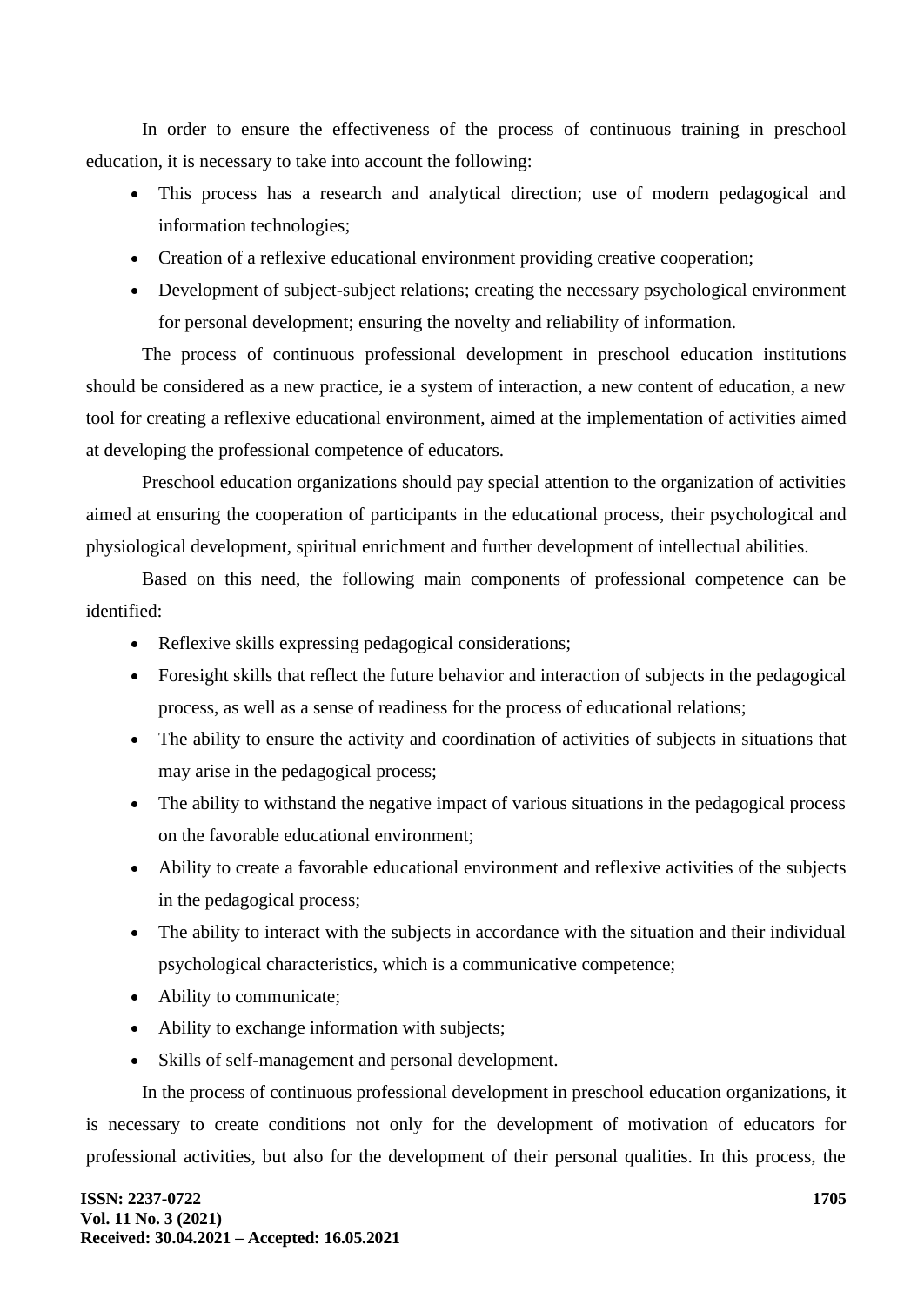In order to ensure the effectiveness of the process of continuous training in preschool education, it is necessary to take into account the following:

- This process has a research and analytical direction; use of modern pedagogical and information technologies;
- Creation of a reflexive educational environment providing creative cooperation;
- Development of subject-subject relations; creating the necessary psychological environment for personal development; ensuring the novelty and reliability of information.

The process of continuous professional development in preschool education institutions should be considered as a new practice, ie a system of interaction, a new content of education, a new tool for creating a reflexive educational environment, aimed at the implementation of activities aimed at developing the professional competence of educators.

Preschool education organizations should pay special attention to the organization of activities aimed at ensuring the cooperation of participants in the educational process, their psychological and physiological development, spiritual enrichment and further development of intellectual abilities.

Based on this need, the following main components of professional competence can be identified:

- Reflexive skills expressing pedagogical considerations;
- Foresight skills that reflect the future behavior and interaction of subjects in the pedagogical process, as well as a sense of readiness for the process of educational relations;
- The ability to ensure the activity and coordination of activities of subjects in situations that may arise in the pedagogical process;
- The ability to withstand the negative impact of various situations in the pedagogical process on the favorable educational environment;
- Ability to create a favorable educational environment and reflexive activities of the subjects in the pedagogical process;
- The ability to interact with the subjects in accordance with the situation and their individual psychological characteristics, which is a communicative competence;
- Ability to communicate;
- Ability to exchange information with subjects;
- Skills of self-management and personal development.

In the process of continuous professional development in preschool education organizations, it is necessary to create conditions not only for the development of motivation of educators for professional activities, but also for the development of their personal qualities. In this process, the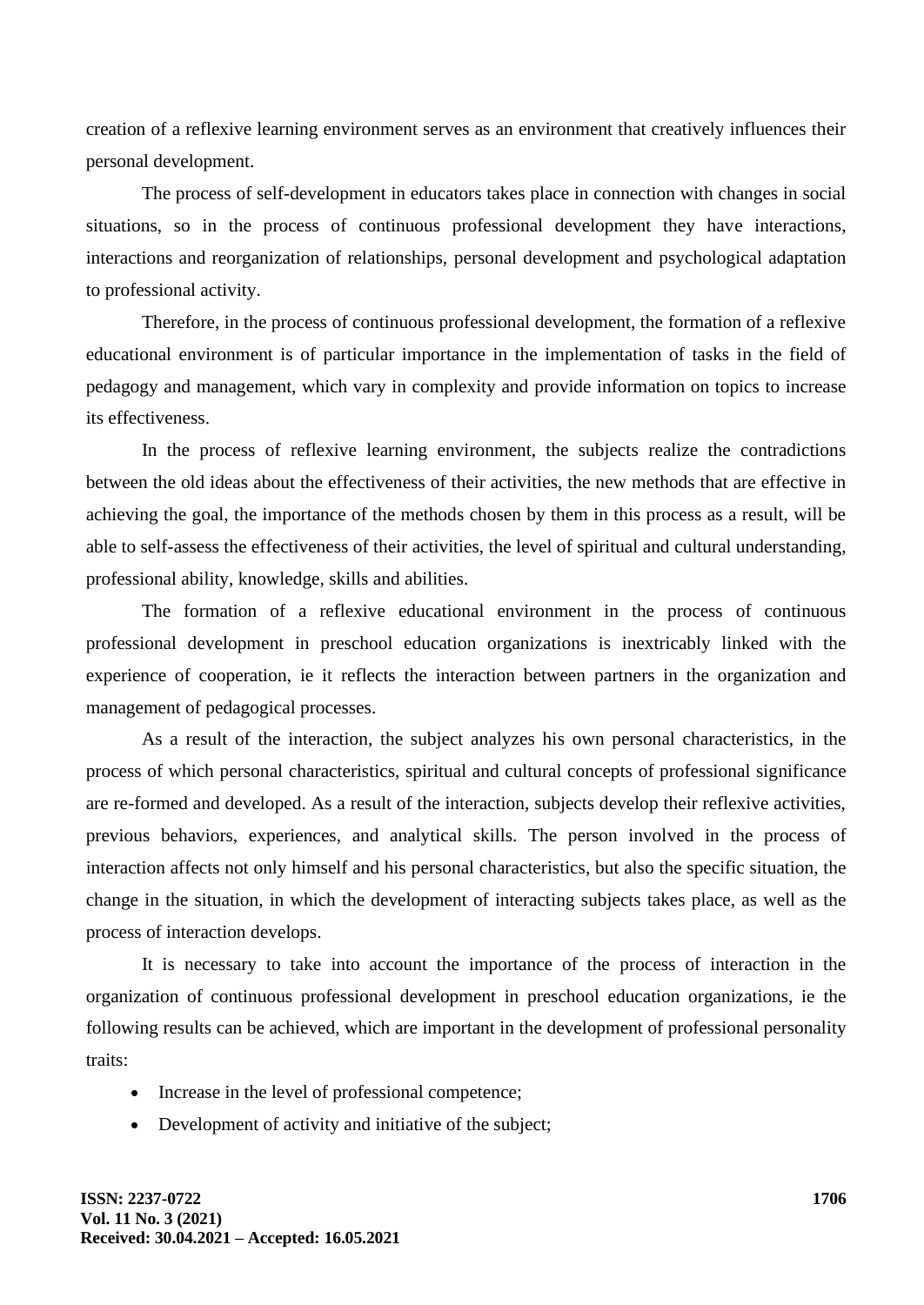creation of a reflexive learning environment serves as an environment that creatively influences their personal development.

The process of self-development in educators takes place in connection with changes in social situations, so in the process of continuous professional development they have interactions, interactions and reorganization of relationships, personal development and psychological adaptation to professional activity.

Therefore, in the process of continuous professional development, the formation of a reflexive educational environment is of particular importance in the implementation of tasks in the field of pedagogy and management, which vary in complexity and provide information on topics to increase its effectiveness.

In the process of reflexive learning environment, the subjects realize the contradictions between the old ideas about the effectiveness of their activities, the new methods that are effective in achieving the goal, the importance of the methods chosen by them in this process as a result, will be able to self-assess the effectiveness of their activities, the level of spiritual and cultural understanding, professional ability, knowledge, skills and abilities.

The formation of a reflexive educational environment in the process of continuous professional development in preschool education organizations is inextricably linked with the experience of cooperation, ie it reflects the interaction between partners in the organization and management of pedagogical processes.

As a result of the interaction, the subject analyzes his own personal characteristics, in the process of which personal characteristics, spiritual and cultural concepts of professional significance are re-formed and developed. As a result of the interaction, subjects develop their reflexive activities, previous behaviors, experiences, and analytical skills. The person involved in the process of interaction affects not only himself and his personal characteristics, but also the specific situation, the change in the situation, in which the development of interacting subjects takes place, as well as the process of interaction develops.

It is necessary to take into account the importance of the process of interaction in the organization of continuous professional development in preschool education organizations, ie the following results can be achieved, which are important in the development of professional personality traits:

- Increase in the level of professional competence;
- Development of activity and initiative of the subject;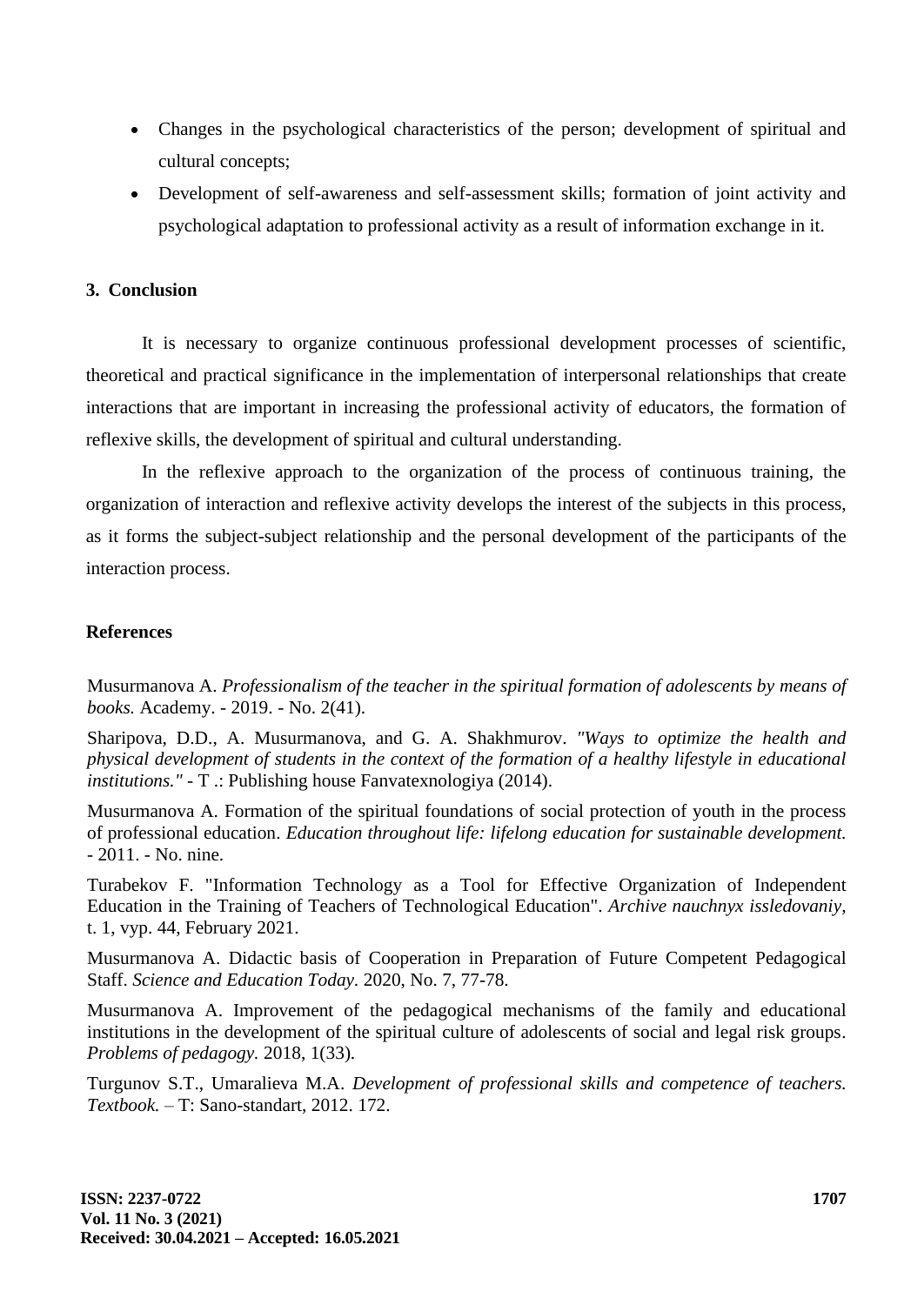- Changes in the psychological characteristics of the person; development of spiritual and cultural concepts;
- Development of self-awareness and self-assessment skills; formation of joint activity and psychological adaptation to professional activity as a result of information exchange in it.

## **3. Conclusion**

It is necessary to organize continuous professional development processes of scientific, theoretical and practical significance in the implementation of interpersonal relationships that create interactions that are important in increasing the professional activity of educators, the formation of reflexive skills, the development of spiritual and cultural understanding.

In the reflexive approach to the organization of the process of continuous training, the organization of interaction and reflexive activity develops the interest of the subjects in this process, as it forms the subject-subject relationship and the personal development of the participants of the interaction process.

#### **References**

Musurmanova A. *Professionalism of the teacher in the spiritual formation of adolescents by means of books.* Academy. - 2019. - No. 2(41).

Sharipova, D.D., A. Musurmanova, and G. A. Shakhmurov. *"Ways to optimize the health and physical development of students in the context of the formation of a healthy lifestyle in educational institutions."* - T .: Publishing house Fanvatexnologiya (2014).

Musurmanova A. Formation of the spiritual foundations of social protection of youth in the process of professional education. *Education throughout life: lifelong education for sustainable development.*  - 2011. - No. nine.

Turabekov F. "Information Technology as a Tool for Effective Organization of Independent Education in the Training of Teachers of Technological Education". *Archive nauchnyx issledovaniy,*  t. 1, vyp. 44, February 2021.

Musurmanova A. Didactic basis of Cooperation in Preparation of Future Competent Pedagogical Staff. *Science and Education Today.* 2020, No. 7, 77-78.

Musurmanova A. Improvement of the pedagogical mechanisms of the family and educational institutions in the development of the spiritual culture of adolescents of social and legal risk groups. *Problems of pedagogy.* 2018, 1(33).

Turgunov S.T., Umaralieva M.A. *Development of professional skills and competence of teachers. Textbook.* – T: Sano-standart, 2012. 172.